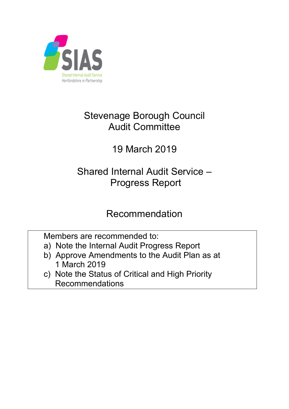

# Stevenage Borough Council Audit Committee

# 19 March 2019

# Shared Internal Audit Service – Progress Report

## Recommendation

Members are recommended to:

- a) Note the Internal Audit Progress Report
- b) Approve Amendments to the Audit Plan as at 1 March 2019
- c) Note the Status of Critical and High Priority Recommendations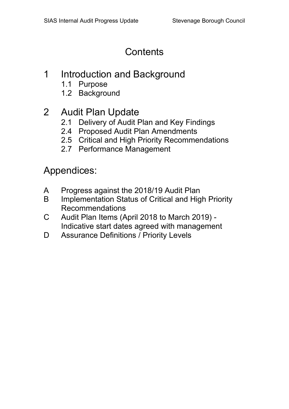## **Contents**

## 1 Introduction and Background

- 1.1 Purpose
- 1.2 Background

## 2 Audit Plan Update

- 2.1 Delivery of Audit Plan and Key Findings
- 2.4 Proposed Audit Plan Amendments
- 2.5 Critical and High Priority Recommendations
- 2.7 Performance Management

Appendices:

- A Progress against the 2018/19 Audit Plan
- B Implementation Status of Critical and High Priority Recommendations
- C Audit Plan Items (April 2018 to March 2019) Indicative start dates agreed with management
- D Assurance Definitions / Priority Levels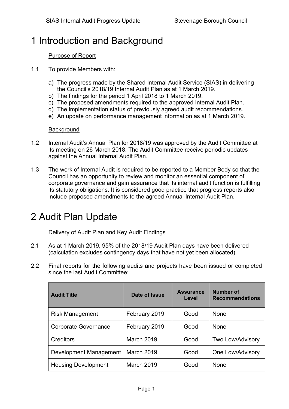# 1 Introduction and Background

### Purpose of Report

- 1.1 To provide Members with:
	- a) The progress made by the Shared Internal Audit Service (SIAS) in delivering the Council's 2018/19 Internal Audit Plan as at 1 March 2019.
	- b) The findings for the period 1 April 2018 to 1 March 2019.
	- c) The proposed amendments required to the approved Internal Audit Plan.
	- d) The implementation status of previously agreed audit recommendations.
	- e) An update on performance management information as at 1 March 2019.

#### **Background**

- 1.2 Internal Audit's Annual Plan for 2018/19 was approved by the Audit Committee at its meeting on 26 March 2018. The Audit Committee receive periodic updates against the Annual Internal Audit Plan.
- 1.3 The work of Internal Audit is required to be reported to a Member Body so that the Council has an opportunity to review and monitor an essential component of corporate governance and gain assurance that its internal audit function is fulfilling its statutory obligations. It is considered good practice that progress reports also include proposed amendments to the agreed Annual Internal Audit Plan.

## 2 Audit Plan Update

### Delivery of Audit Plan and Key Audit Findings

- 2.1 As at 1 March 2019, 95% of the 2018/19 Audit Plan days have been delivered (calculation excludes contingency days that have not yet been allocated).
- 2.2 Final reports for the following audits and projects have been issued or completed since the last Audit Committee:

| <b>Audit Title</b>         | Date of Issue     | <b>Assurance</b><br>Level | <b>Number of</b><br><b>Recommendations</b> |
|----------------------------|-------------------|---------------------------|--------------------------------------------|
| <b>Risk Management</b>     | February 2019     | Good                      | <b>None</b>                                |
| Corporate Governance       | February 2019     | Good                      | <b>None</b>                                |
| Creditors                  | <b>March 2019</b> | Good                      | Two Low/Advisory                           |
| Development Management     | March 2019        | Good                      | One Low/Advisory                           |
| <b>Housing Development</b> | March 2019        | Good                      | <b>None</b>                                |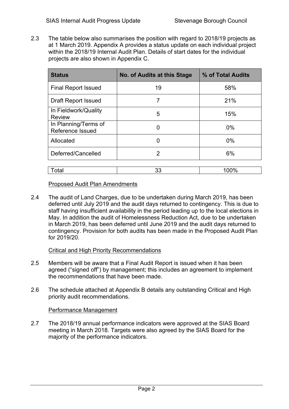2.3 The table below also summarises the position with regard to 2018/19 projects as at 1 March 2019. Appendix A provides a status update on each individual project within the 2018/19 Internal Audit Plan. Details of start dates for the individual projects are also shown in Appendix C.

| <b>Status</b>                            | No. of Audits at this Stage | % of Total Audits |
|------------------------------------------|-----------------------------|-------------------|
| <b>Final Report Issued</b>               | 19                          | 58%               |
| <b>Draft Report Issued</b>               | 7                           | 21%               |
| In Fieldwork/Quality<br><b>Review</b>    | 5                           | 15%               |
| In Planning/Terms of<br>Reference Issued | 0                           | $0\%$             |
| Allocated                                | 0                           | $0\%$             |
| Deferred/Cancelled                       | 2                           | 6%                |
|                                          |                             |                   |
| Total                                    | 33                          | 100%              |

#### Proposed Audit Plan Amendments

2.4 The audit of Land Charges, due to be undertaken during March 2019, has been deferred until July 2019 and the audit days returned to contingency. This is due to staff having insufficient availability in the period leading up to the local elections in May. In addition the audit of Homelessness Reduction Act, due to be undertaken in March 2019, has been deferred until June 2019 and the audit days returned to contingency. Provision for both audits has been made in the Proposed Audit Plan for 2019/20.

#### Critical and High Priority Recommendations

- 2.5 Members will be aware that a Final Audit Report is issued when it has been agreed ("signed off") by management; this includes an agreement to implement the recommendations that have been made.
- 2.6 The schedule attached at Appendix B details any outstanding Critical and High priority audit recommendations.

#### Performance Management

2.7 The 2018/19 annual performance indicators were approved at the SIAS Board meeting in March 2018. Targets were also agreed by the SIAS Board for the majority of the performance indicators.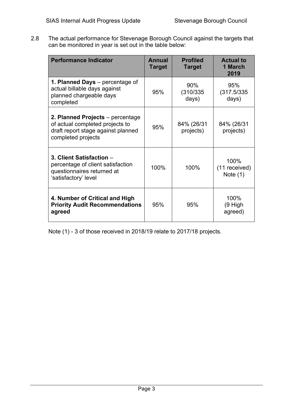2.8 The actual performance for Stevenage Borough Council against the targets that can be monitored in year is set out in the table below:

| <b>Performance Indicator</b>                                                                                                    | Annual<br><b>Target</b> | <b>Profiled</b><br><b>Target</b> | <b>Actual to</b><br>1 March<br>2019 |
|---------------------------------------------------------------------------------------------------------------------------------|-------------------------|----------------------------------|-------------------------------------|
| 1. Planned Days – percentage of<br>actual billable days against<br>planned chargeable days<br>completed                         | 95%                     | 90%<br>(310/335)<br>days)        | 95%<br>(317.5/335)<br>days)         |
| 2. Planned Projects – percentage<br>of actual completed projects to<br>draft report stage against planned<br>completed projects | 95%                     | 84% (26/31<br>projects)          | 84% (26/31<br>projects)             |
| 3. Client Satisfaction -<br>percentage of client satisfaction<br>questionnaires returned at<br>'satisfactory' level             | 100%                    | 100%                             | 100%<br>(11 received)<br>Note $(1)$ |
| 4. Number of Critical and High<br><b>Priority Audit Recommendations</b><br>agreed                                               | 95%                     | 95%                              | 100%<br>(9 High<br>agreed)          |

Note (1) - 3 of those received in 2018/19 relate to 2017/18 projects.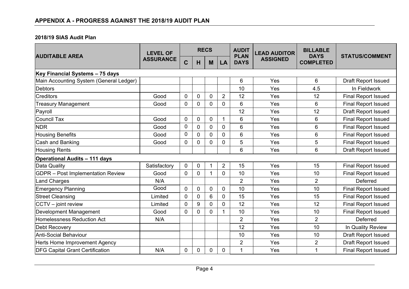### **2018/19 SIAS Audit Plan**

|                                          | <b>LEVEL OF</b>  | <b>RECS</b>    |             |                |                | <b>AUDIT</b>               | <b>LEAD AUDITOR</b> | <b>BILLABLE</b><br><b>DAYS</b> |                            |
|------------------------------------------|------------------|----------------|-------------|----------------|----------------|----------------------------|---------------------|--------------------------------|----------------------------|
| <b>AUDITABLE AREA</b>                    | <b>ASSURANCE</b> | Ć              | H           | M              | LA             | <b>PLAN</b><br><b>DAYS</b> | <b>ASSIGNED</b>     | <b>COMPLETED</b>               | <b>STATUS/COMMENT</b>      |
| Key Financial Systems - 75 days          |                  |                |             |                |                |                            |                     |                                |                            |
| Main Accounting System (General Ledger)  |                  |                |             |                |                | 6                          | Yes                 | 6                              | <b>Draft Report Issued</b> |
| Debtors                                  |                  |                |             |                |                | 10                         | Yes                 | 4.5                            | In Fieldwork               |
| <b>Creditors</b>                         | Good             | $\mathbf 0$    | $\mathbf 0$ | $\mathbf 0$    | $\overline{2}$ | 12                         | Yes                 | 12                             | <b>Final Report Issued</b> |
| <b>Treasury Management</b>               | Good             | $\overline{0}$ | 0           | 0              | $\mathbf{0}$   | 6                          | Yes                 | 6                              | <b>Final Report Issued</b> |
| Payroll                                  |                  |                |             |                |                | 12                         | Yes                 | 12                             | <b>Draft Report Issued</b> |
| Council Tax                              | Good             | 0              | $\mathbf 0$ | $\overline{0}$ | 1              | 6                          | Yes                 | 6                              | <b>Final Report Issued</b> |
| <b>NDR</b>                               | Good             | 0              | 0           | 0              | $\mathbf{0}$   | 6                          | Yes                 | 6                              | <b>Final Report Issued</b> |
| Housing Benefits                         | Good             | 0              | $\mathbf 0$ | $\overline{0}$ | $\mathbf 0$    | 6                          | Yes                 | 6                              | <b>Final Report Issued</b> |
| Cash and Banking                         | Good             | 0              | 0           | 0              | $\mathbf 0$    | 5                          | Yes                 | 5                              | <b>Final Report Issued</b> |
| <b>Housing Rents</b>                     |                  |                |             |                |                | 6                          | Yes                 | 6                              | Draft Report Issued        |
| <b>Operational Audits - 111 days</b>     |                  |                |             |                |                |                            |                     |                                |                            |
| Data Quality                             | Satisfactory     | $\mathbf 0$    | $\mathbf 0$ |                | $\overline{2}$ | 15                         | Yes                 | 15                             | <b>Final Report Issued</b> |
| <b>GDPR</b> - Post Implementation Review | Good             | $\overline{0}$ | 0           |                | $\mathbf 0$    | 10                         | Yes                 | 10                             | <b>Final Report Issued</b> |
| Land Charges                             | N/A              |                |             |                |                | $\overline{2}$             | Yes                 | $\overline{2}$                 | Deferred                   |
| <b>Emergency Planning</b>                | Good             | $\overline{0}$ | $\Omega$    | $\overline{0}$ | $\mathbf{0}$   | 10                         | Yes                 | 10                             | <b>Final Report Issued</b> |
| <b>Street Cleansing</b>                  | Limited          | $\mathbf 0$    | 0           | 6              | $\mathbf{0}$   | 15                         | Yes                 | 15                             | <b>Final Report Issued</b> |
| $ CCTV - joint$ review                   | Limited          | 0              | 9           | 0              | $\mathbf 0$    | 12                         | Yes                 | 12                             | <b>Final Report Issued</b> |
| Development Management                   | Good             | $\overline{0}$ | 0           | 0              | 1              | 10                         | Yes                 | 10                             | <b>Final Report Issued</b> |
| Homelessness Reduction Act               | N/A              |                |             |                |                | $\overline{2}$             | Yes                 | $\overline{2}$                 | Deferred                   |
| Debt Recovery                            |                  |                |             |                |                | 12                         | Yes                 | 10                             | In Quality Review          |
| Anti-Social Behaviour                    |                  |                |             |                |                | 10                         | Yes                 | 10                             | <b>Draft Report Issued</b> |
| Herts Home Improvement Agency            |                  |                |             |                |                | $\overline{2}$             | Yes                 | $\overline{2}$                 | Draft Report Issued        |
| <b>DFG Capital Grant Certification</b>   | N/A              | 0              | $\mathbf 0$ | 0              | $\mathbf 0$    | 1                          | Yes                 | 1                              | <b>Final Report Issued</b> |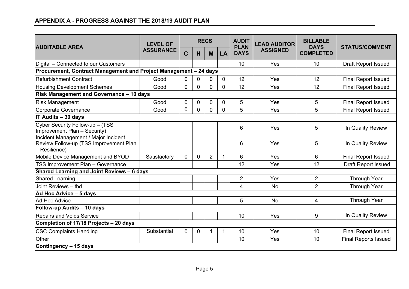| <b>AUDITABLE AREA</b>                                                                           | <b>LEVEL OF</b>  |             |          | <b>RECS</b>    |                | <b>AUDIT</b><br><b>PLAN</b> | <b>LEAD AUDITOR</b> | <b>BILLABLE</b><br><b>DAYS</b> | <b>STATUS/COMMENT</b>       |
|-------------------------------------------------------------------------------------------------|------------------|-------------|----------|----------------|----------------|-----------------------------|---------------------|--------------------------------|-----------------------------|
|                                                                                                 | <b>ASSURANCE</b> | $\mathbf C$ | H        | M              | LA             | <b>DAYS</b>                 | <b>ASSIGNED</b>     | <b>COMPLETED</b>               |                             |
| Digital – Connected to our Customers                                                            |                  |             |          |                |                | 10                          | Yes                 | 10                             | <b>Draft Report Issued</b>  |
| Procurement, Contract Management and Project Management - 24 days                               |                  |             |          |                |                |                             |                     |                                |                             |
| Refurbishment Contract                                                                          | Good             | 0           | 0        | 0              | 0              | 12                          | Yes                 | 12                             | <b>Final Report Issued</b>  |
| <b>Housing Development Schemes</b>                                                              | Good             | 0           | 0        | $\mathbf 0$    | 0              | 12                          | Yes                 | 12                             | <b>Final Report Issued</b>  |
| <b>Risk Management and Governance - 10 days</b>                                                 |                  |             |          |                |                |                             |                     |                                |                             |
| <b>Risk Management</b>                                                                          | Good             | 0           | 0        | $\mathbf 0$    | 0              | 5                           | Yes                 | 5                              | <b>Final Report Issued</b>  |
| Corporate Governance                                                                            | Good             | 0           | $\Omega$ | $\mathbf 0$    | $\overline{0}$ | 5                           | Yes                 | 5                              | <b>Final Report Issued</b>  |
| IT Audits - 30 days                                                                             |                  |             |          |                |                |                             |                     |                                |                             |
| Cyber Security Follow-up - (TSS<br>Improvement Plan - Security)                                 |                  |             |          |                |                | 6                           | Yes                 | 5                              | In Quality Review           |
| Incident Management / Major Incident<br>Review Follow-up (TSS Improvement Plan<br>- Resilience) |                  |             |          |                |                | 6                           | Yes                 | 5                              | In Quality Review           |
| Mobile Device Management and BYOD                                                               | Satisfactory     | $\Omega$    | $\Omega$ | $\overline{2}$ | $\mathbf 1$    | 6                           | Yes                 | 6                              | Final Report Issued         |
| TSS Improvement Plan - Governance                                                               |                  |             |          |                |                | 12                          | Yes                 | 12                             | Draft Report Issued         |
| Shared Learning and Joint Reviews - 6 days                                                      |                  |             |          |                |                |                             |                     |                                |                             |
| <b>Shared Learning</b>                                                                          |                  |             |          |                |                | $\overline{2}$              | Yes                 | $\overline{2}$                 | Through Year                |
| Joint Reviews - tbd                                                                             |                  |             |          |                |                | 4                           | <b>No</b>           | $\overline{2}$                 | <b>Through Year</b>         |
| Ad Hoc Advice - 5 days                                                                          |                  |             |          |                |                |                             |                     |                                |                             |
| Ad Hoc Advice                                                                                   |                  |             |          |                |                | 5                           | <b>No</b>           | 4                              | Through Year                |
| Follow-up Audits - 10 days                                                                      |                  |             |          |                |                |                             |                     |                                |                             |
| <b>Repairs and Voids Service</b>                                                                |                  |             |          |                |                | 10                          | Yes                 | 9                              | In Quality Review           |
| Completion of 17/18 Projects - 20 days                                                          |                  |             |          |                |                |                             |                     |                                |                             |
| <b>CSC Complaints Handling</b>                                                                  | Substantial      | 0           | 0        | -1             | 1              | 10                          | Yes                 | 10                             | <b>Final Report Issued</b>  |
| Other                                                                                           |                  |             |          |                |                | 10                          | Yes                 | 10                             | <b>Final Reports Issued</b> |
| Contingency - 15 days                                                                           |                  |             |          |                |                |                             |                     |                                |                             |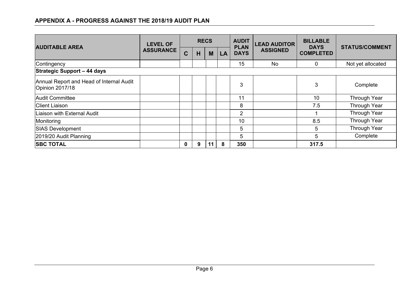## **APPENDIX A - PROGRESS AGAINST THE 2018/19 AUDIT PLAN**

| <b>AUDITABLE AREA</b>                                       | <b>LEVEL OF</b>  | <b>RECS</b> |   |    |    | <b>AUDIT</b><br><b>PLAN</b> | <b>LEAD AUDITOR</b> | <b>BILLABLE</b><br><b>DAYS</b> | <b>STATUS/COMMENT</b> |  |
|-------------------------------------------------------------|------------------|-------------|---|----|----|-----------------------------|---------------------|--------------------------------|-----------------------|--|
|                                                             | <b>ASSURANCE</b> | $\mathbf C$ | H | M  | LA | <b>DAYS</b>                 | <b>ASSIGNED</b>     | <b>COMPLETED</b>               |                       |  |
| Contingency                                                 |                  |             |   |    |    | 15                          | <b>No</b>           | $\mathbf 0$                    | Not yet allocated     |  |
| Strategic Support - 44 days                                 |                  |             |   |    |    |                             |                     |                                |                       |  |
| Annual Report and Head of Internal Audit<br>Opinion 2017/18 |                  |             |   |    |    | 3                           |                     | 3                              | Complete              |  |
| Audit Committee                                             |                  |             |   |    |    | 11                          |                     | 10                             | <b>Through Year</b>   |  |
| <b>Client Liaison</b>                                       |                  |             |   |    |    | 8                           |                     | 7.5                            | <b>Through Year</b>   |  |
| Liaison with External Audit                                 |                  |             |   |    |    | 2                           |                     |                                | <b>Through Year</b>   |  |
| Monitoring                                                  |                  |             |   |    |    | 10                          |                     | 8.5                            | <b>Through Year</b>   |  |
| <b>SIAS Development</b>                                     |                  |             |   |    |    | 5                           |                     | 5                              | <b>Through Year</b>   |  |
| 2019/20 Audit Planning                                      |                  |             |   |    |    | 5                           |                     | 5                              | Complete              |  |
| <b>SBC TOTAL</b>                                            |                  | $\bf{0}$    | 9 | 11 | 8  | 350                         |                     | 317.5                          |                       |  |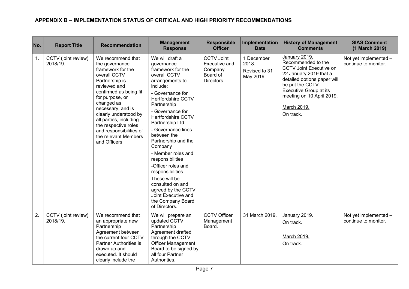| No. | <b>Report Title</b>             | <b>Recommendation</b>                                                                                                                                                                                                                                                                                                                     | <b>Management</b><br><b>Response</b>                                                                                                                                                                                                                                                                                                                                                                                                                                                                                      | <b>Responsible</b><br><b>Officer</b>                                    | Implementation<br><b>Date</b>                     | <b>History of Management</b><br><b>Comments</b>                                                                                                                                                                                      | <b>SIAS Comment</b><br>(1 March 2019)         |
|-----|---------------------------------|-------------------------------------------------------------------------------------------------------------------------------------------------------------------------------------------------------------------------------------------------------------------------------------------------------------------------------------------|---------------------------------------------------------------------------------------------------------------------------------------------------------------------------------------------------------------------------------------------------------------------------------------------------------------------------------------------------------------------------------------------------------------------------------------------------------------------------------------------------------------------------|-------------------------------------------------------------------------|---------------------------------------------------|--------------------------------------------------------------------------------------------------------------------------------------------------------------------------------------------------------------------------------------|-----------------------------------------------|
| 1.  | CCTV (joint review)<br>2018/19. | We recommend that<br>the governance<br>framework for the<br>overall CCTV<br>Partnership is<br>reviewed and<br>confirmed as being fit<br>for purpose, or<br>changed as<br>necessary, and is<br>clearly understood by<br>all parties, including<br>the respective roles<br>and responsibilities of<br>the relevant Members<br>and Officers. | We will draft a<br>governance<br>framework for the<br>overall CCTV<br>arrangements to<br>include:<br>- Governance for<br><b>Hertfordshire CCTV</b><br>Partnership<br>- Governance for<br><b>Hertfordshire CCTV</b><br>Partnership Ltd.<br>- Governance lines<br>between the<br>Partnership and the<br>Company<br>- Member roles and<br>responsibilities<br>-Officer roles and<br>responsibilities<br>These will be<br>consulted on and<br>agreed by the CCTV<br>Joint Executive and<br>the Company Board<br>of Directors. | <b>CCTV Joint</b><br>Executive and<br>Company<br>Board of<br>Directors. | 1 December<br>2018.<br>Revised to 31<br>May 2019. | January 2019.<br>Recommended to the<br><b>CCTV Joint Executive on</b><br>22 January 2019 that a<br>detailed options paper will<br>be put the CCTV<br>Executive Group at its<br>meeting on 10 April 2019.<br>March 2019.<br>On track. | Not yet implemented -<br>continue to monitor. |
| 2.  | CCTV (joint review)<br>2018/19. | We recommend that<br>an appropriate new<br>Partnership<br>Agreement between<br>the current four CCTV<br><b>Partner Authorities is</b><br>drawn up and<br>executed. It should<br>clearly include the                                                                                                                                       | We will prepare an<br>updated CCTV<br>Partnership<br>Agreement drafted<br>through the CCTV<br><b>Officer Management</b><br>Board to be signed by<br>all four Partner<br>Authorities.                                                                                                                                                                                                                                                                                                                                      | <b>CCTV Officer</b><br>Management<br>Board.                             | 31 March 2019.                                    | January 2019.<br>On track.<br>March 2019.<br>On track.                                                                                                                                                                               | Not yet implemented -<br>continue to monitor. |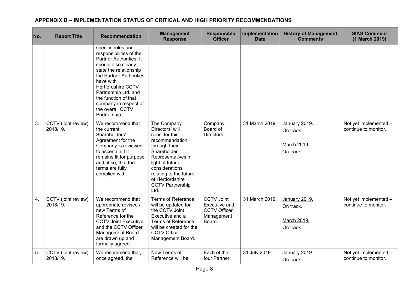| No.              | <b>Report Title</b>             | <b>Recommendation</b>                                                                                                                                                                                                                                                                                | <b>Management</b><br><b>Response</b>                                                                                                                                                                                                          | <b>Responsible</b><br><b>Officer</b>                                              | Implementation<br><b>Date</b> | <b>History of Management</b><br><b>Comments</b>        | <b>SIAS Comment</b><br>(1 March 2019)         |
|------------------|---------------------------------|------------------------------------------------------------------------------------------------------------------------------------------------------------------------------------------------------------------------------------------------------------------------------------------------------|-----------------------------------------------------------------------------------------------------------------------------------------------------------------------------------------------------------------------------------------------|-----------------------------------------------------------------------------------|-------------------------------|--------------------------------------------------------|-----------------------------------------------|
|                  |                                 | specific roles and<br>responsibilities of the<br>Partner Authorities. It<br>should also clearly<br>state the relationship<br>the Partner Authorities<br>have with<br>Hertfordshire CCTV<br>Partnership Ltd. and<br>the function of that<br>company in respect of<br>the overall CCTV<br>Partnership. |                                                                                                                                                                                                                                               |                                                                                   |                               |                                                        |                                               |
| 3.               | CCTV (joint review)<br>2018/19. | We recommend that<br>the current<br>Shareholders'<br>Agreement for the<br>Company is reviewed<br>to ascertain if it<br>remains fit for purpose<br>and, if so, that the<br>terms are fully<br>complied with.                                                                                          | The Company<br>Directors' will<br>consider this<br>recommendation<br>through their<br>Shareholder<br>Representatives in<br>light of future<br>considerations<br>relating to the future<br>of Hertfordshire<br><b>CCTV Partnership</b><br>Ltd. | Company<br>Board of<br>Directors.                                                 | 31 March 2019.                | January 2019.<br>On track.<br>March 2019.<br>On track. | Not yet implemented -<br>continue to monitor. |
| $\overline{4}$ . | CCTV (joint review)<br>2018/19. | We recommend that<br>appropriate revised /<br>new Terms of<br>Reference for the<br><b>CCTV Joint Executive</b><br>and the CCTV Officer<br>Management Board<br>are drawn up and<br>formally agreed.                                                                                                   | <b>Terms of Reference</b><br>will be updated for<br>the CCTV Joint<br>Executive and a<br><b>Terms of Reference</b><br>will be created for the<br><b>CCTV Officer</b><br>Management Board.                                                     | <b>CCTV Joint</b><br>Executive and<br><b>CCTV Officer</b><br>Management<br>Board. | 31 March 2019.                | January 2019.<br>On track.<br>March 2019.<br>On track. | Not yet implemented -<br>continue to monitor. |
| 5.               | CCTV (joint review)<br>2018/19. | We recommend that,<br>once agreed, the                                                                                                                                                                                                                                                               | New Terms of<br>Reference will be                                                                                                                                                                                                             | Each of the<br>four Partner                                                       | 31 July 2019.                 | January 2019.<br>On track.                             | Not yet implemented -<br>continue to monitor. |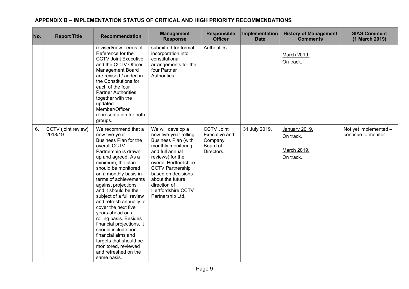| No. | <b>Report Title</b>             | <b>Recommendation</b>                                                                                                                                                                                                                                                                                                                                                                                                                                                                                                                                                   | <b>Management</b><br><b>Response</b>                                                                                                                                                                                                                                                                 | <b>Responsible</b><br><b>Officer</b>                                    | Implementation<br><b>Date</b> | <b>History of Management</b><br><b>Comments</b>        | <b>SIAS Comment</b><br>(1 March 2019)         |
|-----|---------------------------------|-------------------------------------------------------------------------------------------------------------------------------------------------------------------------------------------------------------------------------------------------------------------------------------------------------------------------------------------------------------------------------------------------------------------------------------------------------------------------------------------------------------------------------------------------------------------------|------------------------------------------------------------------------------------------------------------------------------------------------------------------------------------------------------------------------------------------------------------------------------------------------------|-------------------------------------------------------------------------|-------------------------------|--------------------------------------------------------|-----------------------------------------------|
|     |                                 | revised/new Terms of<br>Reference for the<br><b>CCTV Joint Executive</b><br>and the CCTV Officer<br><b>Management Board</b><br>are revised / added in<br>the Constitutions for<br>each of the four<br>Partner Authorities.<br>together with the<br>updated<br>Member/Officer<br>representation for both<br>groups.                                                                                                                                                                                                                                                      | submitted for formal<br>incorporation into<br>constitutional<br>arrangements for the<br>four Partner<br>Authorities.                                                                                                                                                                                 | Authorities.                                                            |                               | March 2019.<br>On track.                               |                                               |
| 6.  | CCTV (joint review)<br>2018/19. | We recommend that a<br>new five-year<br>Business Plan for the<br>overall CCTV<br>Partnership is drawn<br>up and agreed. As a<br>minimum, the plan<br>should be monitored<br>on a monthly basis in<br>terms of achievements<br>against projections<br>and it should be the<br>subject of a full review<br>and refresh annually to<br>cover the next five<br>years ahead on a<br>rolling basis. Besides<br>financial projections, it<br>should include non-<br>financial aims and<br>targets that should be<br>monitored, reviewed<br>and refreshed on the<br>same basis. | We will develop a<br>new five-year rolling<br><b>Business Plan (with</b><br>monthly monitoring<br>and full annual<br>reviews) for the<br>overall Hertfordshire<br><b>CCTV Partnership</b><br>based on decisions<br>about the future<br>direction of<br><b>Hertfordshire CCTV</b><br>Partnership Ltd. | <b>CCTV Joint</b><br>Executive and<br>Company<br>Board of<br>Directors. | 31 July 2019.                 | January 2019.<br>On track.<br>March 2019.<br>On track. | Not yet implemented -<br>continue to monitor. |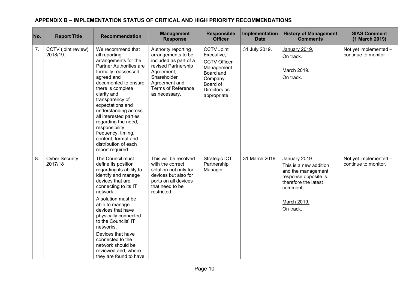| No. | <b>Report Title</b>              | <b>Recommendation</b>                                                                                                                                                                                                                                                                                                                                                                                               | <b>Management</b><br><b>Response</b>                                                                                                                                                  | <b>Responsible</b><br><b>Officer</b>                                                                                                     | Implementation<br><b>Date</b> | <b>History of Management</b><br><b>Comments</b>                                                                                                       | <b>SIAS Comment</b><br>(1 March 2019)         |
|-----|----------------------------------|---------------------------------------------------------------------------------------------------------------------------------------------------------------------------------------------------------------------------------------------------------------------------------------------------------------------------------------------------------------------------------------------------------------------|---------------------------------------------------------------------------------------------------------------------------------------------------------------------------------------|------------------------------------------------------------------------------------------------------------------------------------------|-------------------------------|-------------------------------------------------------------------------------------------------------------------------------------------------------|-----------------------------------------------|
| 7.  | CCTV (joint review)<br>2018/19.  | We recommend that<br>all reporting<br>arrangements for the<br>Partner Authorities are<br>formally reassessed,<br>agreed and<br>documented to ensure<br>there is complete<br>clarity and<br>transparency of<br>expectations and<br>understanding across<br>all interested parties<br>regarding the need,<br>responsibility,<br>frequency, timing,<br>content, format and<br>distribution of each<br>report required. | Authority reporting<br>arrangements to be<br>included as part of a<br>revised Partnership<br>Agreement,<br>Shareholder<br>Agreement and<br><b>Terms of Reference</b><br>as necessary. | <b>CCTV Joint</b><br>Executive,<br><b>CCTV Officer</b><br>Management<br>Board and<br>Company<br>Board of<br>Directors as<br>appropriate. | 31 July 2019.                 | January 2019.<br>On track.<br>March 2019.<br>On track.                                                                                                | Not yet implemented -<br>continue to monitor. |
| 8.  | <b>Cyber Security</b><br>2017/18 | The Council must<br>define its position<br>regarding its ability to<br>identify and manage<br>devices that are<br>connecting to its IT<br>network.<br>A solution must be<br>able to manage<br>devices that have<br>physically connected<br>to the Councils' IT<br>networks.<br>Devices that have<br>connected to the<br>network should be<br>reviewed and, where<br>they are found to have                          | This will be resolved<br>with the correct<br>solution not only for<br>devices but also for<br>ports on all devices<br>that need to be<br>restricted.                                  | Strategic ICT<br>Partnership<br>Manager.                                                                                                 | 31 March 2019.                | January 2019.<br>This is a new addition<br>and the management<br>response opposite is<br>therefore the latest<br>comment.<br>March 2019.<br>On track. | Not yet implemented -<br>continue to monitor. |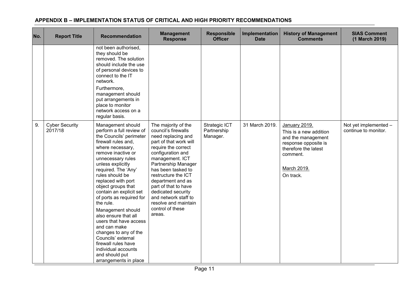| No. | <b>Report Title</b>              | <b>Recommendation</b>                                                                                                                                                                                                                                                                                                                                                                                                                                                                                                                                                        | <b>Management</b><br><b>Response</b>                                                                                                                                                                                                                                                                                                                                           | <b>Responsible</b><br><b>Officer</b>     | Implementation<br><b>Date</b> | <b>History of Management</b><br><b>Comments</b>                                                                                                       | <b>SIAS Comment</b><br>(1 March 2019)         |
|-----|----------------------------------|------------------------------------------------------------------------------------------------------------------------------------------------------------------------------------------------------------------------------------------------------------------------------------------------------------------------------------------------------------------------------------------------------------------------------------------------------------------------------------------------------------------------------------------------------------------------------|--------------------------------------------------------------------------------------------------------------------------------------------------------------------------------------------------------------------------------------------------------------------------------------------------------------------------------------------------------------------------------|------------------------------------------|-------------------------------|-------------------------------------------------------------------------------------------------------------------------------------------------------|-----------------------------------------------|
|     |                                  | not been authorised,<br>they should be<br>removed. The solution<br>should include the use<br>of personal devices to<br>connect to the IT<br>network.<br>Furthermore,<br>management should<br>put arrangements in<br>place to monitor<br>network access on a<br>regular basis.                                                                                                                                                                                                                                                                                                |                                                                                                                                                                                                                                                                                                                                                                                |                                          |                               |                                                                                                                                                       |                                               |
| 9.  | <b>Cyber Security</b><br>2017/18 | Management should<br>perform a full review of<br>the Councils' perimeter<br>firewall rules and,<br>where necessary,<br>remove inactive or<br>unnecessary rules<br>unless explicitly<br>required. The 'Any'<br>rules should be<br>replaced with port<br>object groups that<br>contain an explicit set<br>of ports as required for<br>the rule.<br>Management should<br>also ensure that all<br>users that have access<br>and can make<br>changes to any of the<br>Councils' external<br>firewall rules have<br>individual accounts<br>and should put<br>arrangements in place | The majority of the<br>council's firewalls<br>need replacing and<br>part of that work will<br>require the correct<br>configuration and<br>management. ICT<br>Partnership Manager<br>has been tasked to<br>restructure the ICT<br>department and as<br>part of that to have<br>dedicated security<br>and network staff to<br>resolve and maintain<br>control of these<br>areas. | Strategic ICT<br>Partnership<br>Manager. | 31 March 2019.                | January 2019.<br>This is a new addition<br>and the management<br>response opposite is<br>therefore the latest<br>comment.<br>March 2019.<br>On track. | Not yet implemented -<br>continue to monitor. |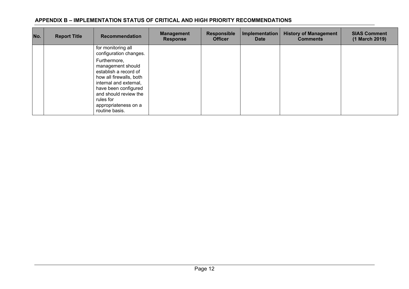| No. | <b>Report Title</b> | <b>Recommendation</b>                                                                                                                                                                                                   | <b>Management</b><br><b>Response</b> | <b>Responsible</b><br><b>Officer</b> | Implementation<br><b>Date</b> | <b>History of Management</b><br><b>Comments</b> | <b>SIAS Comment</b><br>(1 March 2019) |
|-----|---------------------|-------------------------------------------------------------------------------------------------------------------------------------------------------------------------------------------------------------------------|--------------------------------------|--------------------------------------|-------------------------------|-------------------------------------------------|---------------------------------------|
|     |                     | for monitoring all<br>configuration changes.                                                                                                                                                                            |                                      |                                      |                               |                                                 |                                       |
|     |                     | Furthermore,<br>management should<br>establish a record of<br>how all firewalls, both<br>internal and external,<br>have been configured<br>and should review the<br>rules for<br>appropriateness on a<br>routine basis. |                                      |                                      |                               |                                                 |                                       |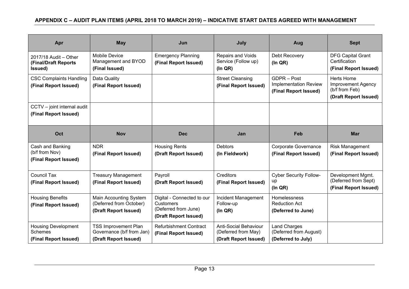## APPENDIX C - AUDIT PLAN ITEMS (APRIL 2018 TO MARCH 2019) - INDICATIVE START DATES AGREED WITH MANAGEMENT

| Apr                                                                                                | <b>May</b>                                                                        | Jun                                                                                             | July                                                                         | Aug                                                                  | <b>Sept</b>                                                                               |
|----------------------------------------------------------------------------------------------------|-----------------------------------------------------------------------------------|-------------------------------------------------------------------------------------------------|------------------------------------------------------------------------------|----------------------------------------------------------------------|-------------------------------------------------------------------------------------------|
| 2017/18 Audit - Other<br>(Final/Draft Reports<br>Issued)                                           | <b>Mobile Device</b><br>Management and BYOD<br>(Final Issued)                     | <b>Emergency Planning</b><br>(Final Report Issued)                                              | Repairs and Voids<br>Service (Follow up)<br>(ln QR)                          | Debt Recovery<br>(ln QR)                                             | <b>DFG Capital Grant</b><br>Certification<br>(Final Report Issued)                        |
| <b>CSC Complaints Handling</b><br>Data Quality<br>(Final Report Issued)<br>(Final Report Issued)   |                                                                                   |                                                                                                 | <b>Street Cleansing</b><br>(Final Report Issued)                             | GDPR - Post<br><b>Implementation Review</b><br>(Final Report Issued) | <b>Herts Home</b><br><b>Improvement Agency</b><br>(b/f from Feb)<br>(Draft Report Issued) |
| CCTV - joint internal audit<br>(Final Report Issued)                                               |                                                                                   |                                                                                                 |                                                                              |                                                                      |                                                                                           |
| Oct                                                                                                | <b>Nov</b>                                                                        | <b>Dec</b>                                                                                      | Jan                                                                          | Feb                                                                  | <b>Mar</b>                                                                                |
| Cash and Banking<br>(b/f from Nov)<br>(Final Report Issued)                                        | <b>NDR</b><br>(Final Report Issued)                                               | <b>Housing Rents</b><br>(Draft Report Issued)                                                   | <b>Debtors</b><br>(In Fieldwork)                                             | Corporate Governance<br>(Final Report Issued)                        | Risk Management<br>(Final Report Issued)                                                  |
| <b>Council Tax</b><br><b>Treasury Management</b><br>(Final Report Issued)<br>(Final Report Issued) |                                                                                   | Payroll<br>(Draft Report Issued)                                                                | Creditors<br>(Final Report Issued)                                           | <b>Cyber Security Follow-</b><br>up<br>$($ In QR $)$                 | Development Mgmt.<br>(Deferred from Sept)<br>(Final Report Issued)                        |
| <b>Housing Benefits</b><br>(Final Report Issued)                                                   | Main Accounting System<br>(Deferred from October)<br>(Draft Report Issued)        | Digital - Connected to our<br><b>Customers</b><br>(Deferred from June)<br>(Draft Report Issued) | Incident Management<br>Follow-up<br>(ln QR)                                  | Homelessness<br><b>Reduction Act</b><br>(Deferred to June)           |                                                                                           |
| <b>Housing Development</b><br><b>Schemes</b><br>(Final Report Issued)                              | <b>TSS Improvement Plan</b><br>Governance (b/f from Jan)<br>(Draft Report Issued) | <b>Refurbishment Contract</b><br>(Final Report Issued)                                          | <b>Anti-Social Behaviour</b><br>(Deferred from May)<br>(Draft Report Issued) | <b>Land Charges</b><br>(Deferred from August)<br>(Deferred to July)  |                                                                                           |